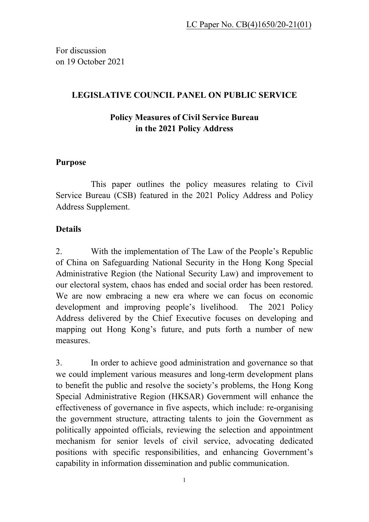For discussion on 19 October 2021

# **LEGISLATIVE COUNCIL PANEL ON PUBLIC SERVICE**

# **Policy Measures of Civil Service Bureau in the 2021 Policy Address**

#### **Purpose**

This paper outlines the policy measures relating to Civil Service Bureau (CSB) featured in the 2021 Policy Address and Policy Address Supplement.

#### **Details**

2. With the implementation of The Law of the People's Republic of China on Safeguarding National Security in the Hong Kong Special Administrative Region (the National Security Law) and improvement to our electoral system, chaos has ended and social order has been restored. We are now embracing a new era where we can focus on economic development and improving people's livelihood. The 2021 Policy Address delivered by the Chief Executive focuses on developing and mapping out Hong Kong's future, and puts forth a number of new measures.

3. In order to achieve good administration and governance so that we could implement various measures and long-term development plans to benefit the public and resolve the society's problems, the Hong Kong Special Administrative Region (HKSAR) Government will enhance the effectiveness of governance in five aspects, which include: re-organising the government structure, attracting talents to join the Government as politically appointed officials, reviewing the selection and appointment mechanism for senior levels of civil service, advocating dedicated positions with specific responsibilities, and enhancing Government's capability in information dissemination and public communication.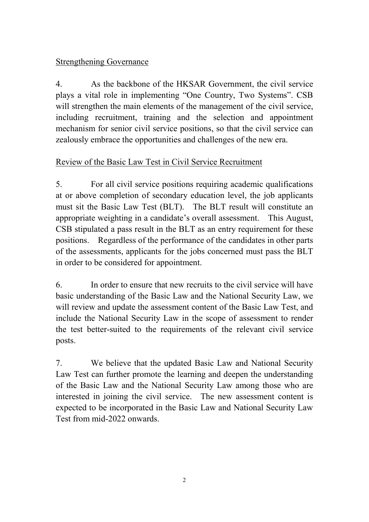# Strengthening Governance

4. As the backbone of the HKSAR Government, the civil service plays a vital role in implementing "One Country, Two Systems". CSB will strengthen the main elements of the management of the civil service, including recruitment, training and the selection and appointment mechanism for senior civil service positions, so that the civil service can zealously embrace the opportunities and challenges of the new era.

# Review of the Basic Law Test in Civil Service Recruitment

5. For all civil service positions requiring academic qualifications at or above completion of secondary education level, the job applicants must sit the Basic Law Test (BLT). The BLT result will constitute an appropriate weighting in a candidate's overall assessment. This August, CSB stipulated a pass result in the BLT as an entry requirement for these positions. Regardless of the performance of the candidates in other parts of the assessments, applicants for the jobs concerned must pass the BLT in order to be considered for appointment.

6. In order to ensure that new recruits to the civil service will have basic understanding of the Basic Law and the National Security Law, we will review and update the assessment content of the Basic Law Test, and include the National Security Law in the scope of assessment to render the test better-suited to the requirements of the relevant civil service posts.

7. We believe that the updated Basic Law and National Security Law Test can further promote the learning and deepen the understanding of the Basic Law and the National Security Law among those who are interested in joining the civil service. The new assessment content is expected to be incorporated in the Basic Law and National Security Law Test from mid-2022 onwards.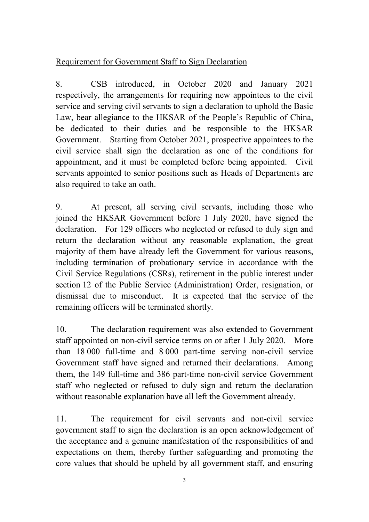# Requirement for Government Staff to Sign Declaration

8. CSB introduced, in October 2020 and January 2021 respectively, the arrangements for requiring new appointees to the civil service and serving civil servants to sign a declaration to uphold the Basic Law, bear allegiance to the HKSAR of the People's Republic of China, be dedicated to their duties and be responsible to the HKSAR Government. Starting from October 2021, prospective appointees to the civil service shall sign the declaration as one of the conditions for appointment, and it must be completed before being appointed. Civil servants appointed to senior positions such as Heads of Departments are also required to take an oath.

9. At present, all serving civil servants, including those who joined the HKSAR Government before 1 July 2020, have signed the declaration. For 129 officers who neglected or refused to duly sign and return the declaration without any reasonable explanation, the great majority of them have already left the Government for various reasons, including termination of probationary service in accordance with the Civil Service Regulations (CSRs), retirement in the public interest under section 12 of the Public Service (Administration) Order, resignation, or dismissal due to misconduct. It is expected that the service of the remaining officers will be terminated shortly.

10. The declaration requirement was also extended to Government staff appointed on non-civil service terms on or after 1 July 2020. More than 18 000 full-time and 8 000 part-time serving non-civil service Government staff have signed and returned their declarations. Among them, the 149 full-time and 386 part-time non-civil service Government staff who neglected or refused to duly sign and return the declaration without reasonable explanation have all left the Government already.

11. The requirement for civil servants and non-civil service government staff to sign the declaration is an open acknowledgement of the acceptance and a genuine manifestation of the responsibilities of and expectations on them, thereby further safeguarding and promoting the core values that should be upheld by all government staff, and ensuring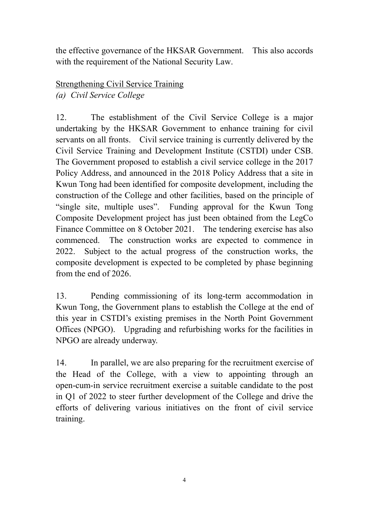the effective governance of the HKSAR Government. This also accords with the requirement of the National Security Law.

## Strengthening Civil Service Training *(a) Civil Service College*

12. The establishment of the Civil Service College is a major undertaking by the HKSAR Government to enhance training for civil servants on all fronts. Civil service training is currently delivered by the Civil Service Training and Development Institute (CSTDI) under CSB. The Government proposed to establish a civil service college in the 2017 Policy Address, and announced in the 2018 Policy Address that a site in Kwun Tong had been identified for composite development, including the construction of the College and other facilities, based on the principle of "single site, multiple uses". Funding approval for the Kwun Tong Composite Development project has just been obtained from the LegCo Finance Committee on 8 October 2021. The tendering exercise has also commenced. The construction works are expected to commence in 2022. Subject to the actual progress of the construction works, the composite development is expected to be completed by phase beginning from the end of 2026.

13. Pending commissioning of its long-term accommodation in Kwun Tong, the Government plans to establish the College at the end of this year in CSTDI's existing premises in the North Point Government Offices (NPGO). Upgrading and refurbishing works for the facilities in NPGO are already underway.

14. In parallel, we are also preparing for the recruitment exercise of the Head of the College, with a view to appointing through an open-cum-in service recruitment exercise a suitable candidate to the post in Q1 of 2022 to steer further development of the College and drive the efforts of delivering various initiatives on the front of civil service training.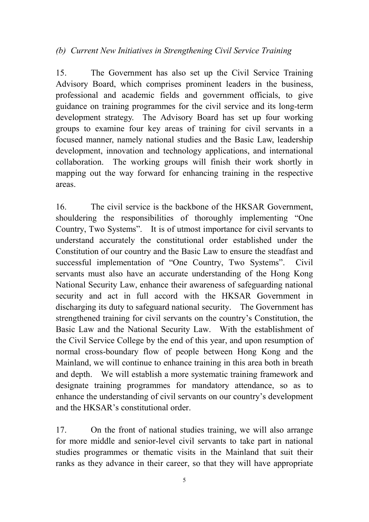#### *(b) Current New Initiatives in Strengthening Civil Service Training*

15. The Government has also set up the Civil Service Training Advisory Board, which comprises prominent leaders in the business, professional and academic fields and government officials, to give guidance on training programmes for the civil service and its long-term development strategy. The Advisory Board has set up four working groups to examine four key areas of training for civil servants in a focused manner, namely national studies and the Basic Law, leadership development, innovation and technology applications, and international collaboration. The working groups will finish their work shortly in mapping out the way forward for enhancing training in the respective areas.

16. The civil service is the backbone of the HKSAR Government, shouldering the responsibilities of thoroughly implementing "One Country, Two Systems". It is of utmost importance for civil servants to understand accurately the constitutional order established under the Constitution of our country and the Basic Law to ensure the steadfast and successful implementation of "One Country, Two Systems". Civil servants must also have an accurate understanding of the Hong Kong National Security Law, enhance their awareness of safeguarding national security and act in full accord with the HKSAR Government in discharging its duty to safeguard national security. The Government has strengthened training for civil servants on the country's Constitution, the Basic Law and the National Security Law. With the establishment of the Civil Service College by the end of this year, and upon resumption of normal cross-boundary flow of people between Hong Kong and the Mainland, we will continue to enhance training in this area both in breath and depth. We will establish a more systematic training framework and designate training programmes for mandatory attendance, so as to enhance the understanding of civil servants on our country's development and the HKSAR's constitutional order.

17. On the front of national studies training, we will also arrange for more middle and senior-level civil servants to take part in national studies programmes or thematic visits in the Mainland that suit their ranks as they advance in their career, so that they will have appropriate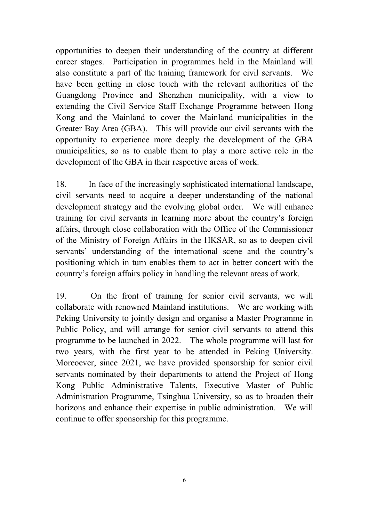opportunities to deepen their understanding of the country at different career stages. Participation in programmes held in the Mainland will also constitute a part of the training framework for civil servants. We have been getting in close touch with the relevant authorities of the Guangdong Province and Shenzhen municipality, with a view to extending the Civil Service Staff Exchange Programme between Hong Kong and the Mainland to cover the Mainland municipalities in the Greater Bay Area (GBA). This will provide our civil servants with the opportunity to experience more deeply the development of the GBA municipalities, so as to enable them to play a more active role in the development of the GBA in their respective areas of work.

18. In face of the increasingly sophisticated international landscape, civil servants need to acquire a deeper understanding of the national development strategy and the evolving global order. We will enhance training for civil servants in learning more about the country's foreign affairs, through close collaboration with the Office of the Commissioner of the Ministry of Foreign Affairs in the HKSAR, so as to deepen civil servants' understanding of the international scene and the country's positioning which in turn enables them to act in better concert with the country's foreign affairs policy in handling the relevant areas of work.

19. On the front of training for senior civil servants, we will collaborate with renowned Mainland institutions. We are working with Peking University to jointly design and organise a Master Programme in Public Policy, and will arrange for senior civil servants to attend this programme to be launched in 2022. The whole programme will last for two years, with the first year to be attended in Peking University. Moreoever, since 2021, we have provided sponsorship for senior civil servants nominated by their departments to attend the Project of Hong Kong Public Administrative Talents, Executive Master of Public Administration Programme, Tsinghua University, so as to broaden their horizons and enhance their expertise in public administration. We will continue to offer sponsorship for this programme.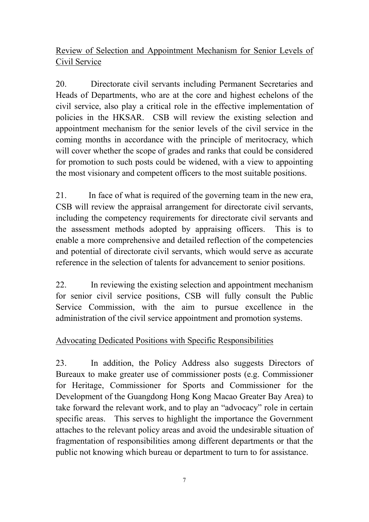# Review of Selection and Appointment Mechanism for Senior Levels of Civil Service

20. Directorate civil servants including Permanent Secretaries and Heads of Departments, who are at the core and highest echelons of the civil service, also play a critical role in the effective implementation of policies in the HKSAR. CSB will review the existing selection and appointment mechanism for the senior levels of the civil service in the coming months in accordance with the principle of meritocracy, which will cover whether the scope of grades and ranks that could be considered for promotion to such posts could be widened, with a view to appointing the most visionary and competent officers to the most suitable positions.

21. In face of what is required of the governing team in the new era, CSB will review the appraisal arrangement for directorate civil servants, including the competency requirements for directorate civil servants and the assessment methods adopted by appraising officers. This is to enable a more comprehensive and detailed reflection of the competencies and potential of directorate civil servants, which would serve as accurate reference in the selection of talents for advancement to senior positions.

22. In reviewing the existing selection and appointment mechanism for senior civil service positions, CSB will fully consult the Public Service Commission, with the aim to pursue excellence in the administration of the civil service appointment and promotion systems.

# Advocating Dedicated Positions with Specific Responsibilities

23. In addition, the Policy Address also suggests Directors of Bureaux to make greater use of commissioner posts (e.g. Commissioner for Heritage, Commissioner for Sports and Commissioner for the Development of the Guangdong Hong Kong Macao Greater Bay Area) to take forward the relevant work, and to play an "advocacy" role in certain specific areas. This serves to highlight the importance the Government attaches to the relevant policy areas and avoid the undesirable situation of fragmentation of responsibilities among different departments or that the public not knowing which bureau or department to turn to for assistance.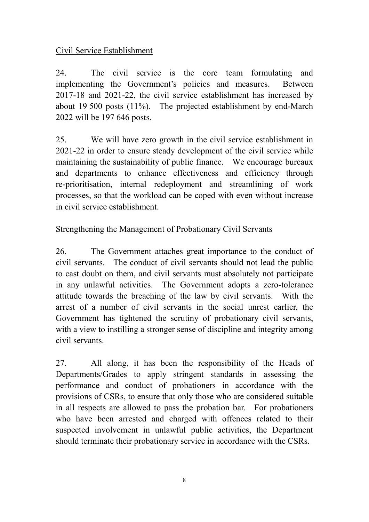# Civil Service Establishment

24. The civil service is the core team formulating and implementing the Government's policies and measures. Between 2017-18 and 2021-22, the civil service establishment has increased by about 19 500 posts (11%). The projected establishment by end-March 2022 will be 197 646 posts.

25. We will have zero growth in the civil service establishment in 2021-22 in order to ensure steady development of the civil service while maintaining the sustainability of public finance. We encourage bureaux and departments to enhance effectiveness and efficiency through re-prioritisation, internal redeployment and streamlining of work processes, so that the workload can be coped with even without increase in civil service establishment.

# Strengthening the Management of Probationary Civil Servants

26. The Government attaches great importance to the conduct of civil servants. The conduct of civil servants should not lead the public to cast doubt on them, and civil servants must absolutely not participate in any unlawful activities. The Government adopts a zero-tolerance attitude towards the breaching of the law by civil servants. With the arrest of a number of civil servants in the social unrest earlier, the Government has tightened the scrutiny of probationary civil servants, with a view to instilling a stronger sense of discipline and integrity among civil servants.

27. All along, it has been the responsibility of the Heads of Departments/Grades to apply stringent standards in assessing the performance and conduct of probationers in accordance with the provisions of CSRs, to ensure that only those who are considered suitable in all respects are allowed to pass the probation bar. For probationers who have been arrested and charged with offences related to their suspected involvement in unlawful public activities, the Department should terminate their probationary service in accordance with the CSRs.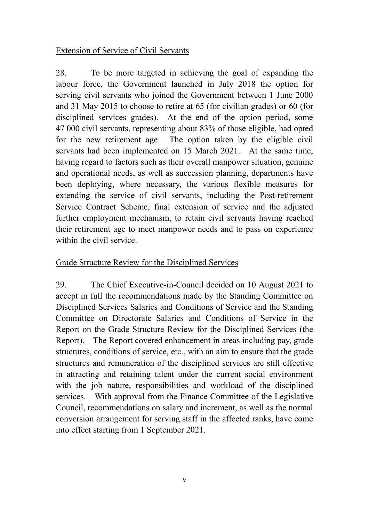#### Extension of Service of Civil Servants

28. To be more targeted in achieving the goal of expanding the labour force, the Government launched in July 2018 the option for serving civil servants who joined the Government between 1 June 2000 and 31 May 2015 to choose to retire at 65 (for civilian grades) or 60 (for disciplined services grades). At the end of the option period, some 47 000 civil servants, representing about 83% of those eligible, had opted for the new retirement age. The option taken by the eligible civil servants had been implemented on 15 March 2021. At the same time, having regard to factors such as their overall manpower situation, genuine and operational needs, as well as succession planning, departments have been deploying, where necessary, the various flexible measures for extending the service of civil servants, including the Post-retirement Service Contract Scheme, final extension of service and the adjusted further employment mechanism, to retain civil servants having reached their retirement age to meet manpower needs and to pass on experience within the civil service.

#### Grade Structure Review for the Disciplined Services

29. The Chief Executive-in-Council decided on 10 August 2021 to accept in full the recommendations made by the Standing Committee on Disciplined Services Salaries and Conditions of Service and the Standing Committee on Directorate Salaries and Conditions of Service in the Report on the Grade Structure Review for the Disciplined Services (the Report). The Report covered enhancement in areas including pay, grade structures, conditions of service, etc., with an aim to ensure that the grade structures and remuneration of the disciplined services are still effective in attracting and retaining talent under the current social environment with the job nature, responsibilities and workload of the disciplined services. With approval from the Finance Committee of the Legislative Council, recommendations on salary and increment, as well as the normal conversion arrangement for serving staff in the affected ranks, have come into effect starting from 1 September 2021.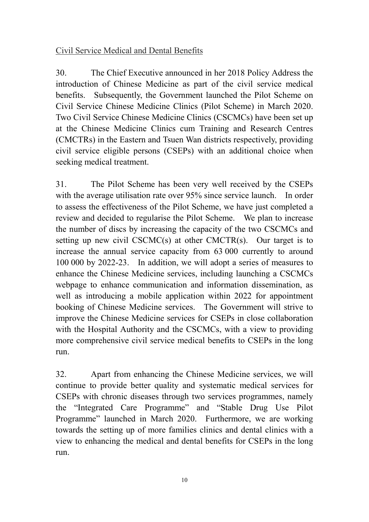# Civil Service Medical and Dental Benefits

30. The Chief Executive announced in her 2018 Policy Address the introduction of Chinese Medicine as part of the civil service medical benefits. Subsequently, the Government launched the Pilot Scheme on Civil Service Chinese Medicine Clinics (Pilot Scheme) in March 2020. Two Civil Service Chinese Medicine Clinics (CSCMCs) have been set up at the Chinese Medicine Clinics cum Training and Research Centres (CMCTRs) in the Eastern and Tsuen Wan districts respectively, providing civil service eligible persons (CSEPs) with an additional choice when seeking medical treatment.

31. The Pilot Scheme has been very well received by the CSEPs with the average utilisation rate over 95% since service launch. In order to assess the effectiveness of the Pilot Scheme, we have just completed a review and decided to regularise the Pilot Scheme. We plan to increase the number of discs by increasing the capacity of the two CSCMCs and setting up new civil CSCMC(s) at other CMCTR(s). Our target is to increase the annual service capacity from 63 000 currently to around 100 000 by 2022-23. In addition, we will adopt a series of measures to enhance the Chinese Medicine services, including launching a CSCMCs webpage to enhance communication and information dissemination, as well as introducing a mobile application within 2022 for appointment booking of Chinese Medicine services. The Government will strive to improve the Chinese Medicine services for CSEPs in close collaboration with the Hospital Authority and the CSCMCs, with a view to providing more comprehensive civil service medical benefits to CSEPs in the long run.

32. Apart from enhancing the Chinese Medicine services, we will continue to provide better quality and systematic medical services for CSEPs with chronic diseases through two services programmes, namely the "Integrated Care Programme" and "Stable Drug Use Pilot Programme" launched in March 2020. Furthermore, we are working towards the setting up of more families clinics and dental clinics with a view to enhancing the medical and dental benefits for CSEPs in the long run.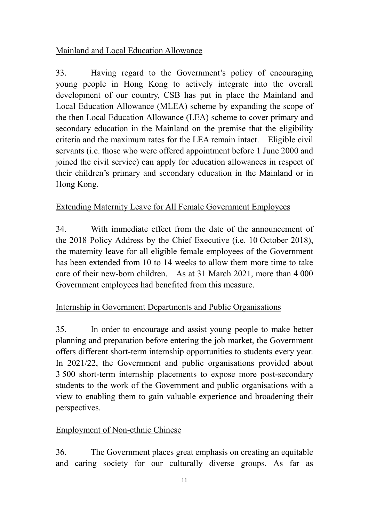# Mainland and Local Education Allowance

33. Having regard to the Government's policy of encouraging young people in Hong Kong to actively integrate into the overall development of our country, CSB has put in place the Mainland and Local Education Allowance (MLEA) scheme by expanding the scope of the then Local Education Allowance (LEA) scheme to cover primary and secondary education in the Mainland on the premise that the eligibility criteria and the maximum rates for the LEA remain intact. Eligible civil servants (i.e. those who were offered appointment before 1 June 2000 and joined the civil service) can apply for education allowances in respect of their children's primary and secondary education in the Mainland or in Hong Kong.

# Extending Maternity Leave for All Female Government Employees

34. With immediate effect from the date of the announcement of the 2018 Policy Address by the Chief Executive (i.e. 10 October 2018), the maternity leave for all eligible female employees of the Government has been extended from 10 to 14 weeks to allow them more time to take care of their new-born children. As at 31 March 2021, more than 4 000 Government employees had benefited from this measure.

# Internship in Government Departments and Public Organisations

35. In order to encourage and assist young people to make better planning and preparation before entering the job market, the Government offers different short-term internship opportunities to students every year. In 2021/22, the Government and public organisations provided about 3 500 short-term internship placements to expose more post-secondary students to the work of the Government and public organisations with a view to enabling them to gain valuable experience and broadening their perspectives.

#### Employment of Non-ethnic Chinese

36. The Government places great emphasis on creating an equitable and caring society for our culturally diverse groups. As far as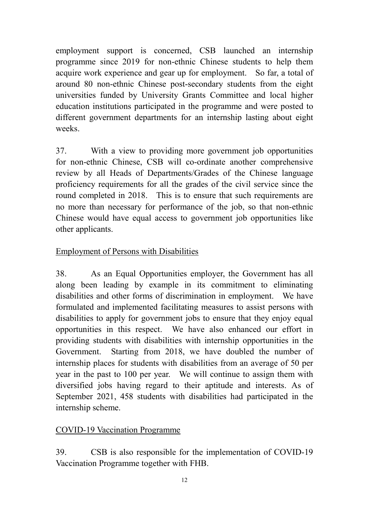employment support is concerned, CSB launched an internship programme since 2019 for non-ethnic Chinese students to help them acquire work experience and gear up for employment. So far, a total of around 80 non-ethnic Chinese post-secondary students from the eight universities funded by University Grants Committee and local higher education institutions participated in the programme and were posted to different government departments for an internship lasting about eight weeks.

37. With a view to providing more government job opportunities for non-ethnic Chinese, CSB will co-ordinate another comprehensive review by all Heads of Departments/Grades of the Chinese language proficiency requirements for all the grades of the civil service since the round completed in 2018. This is to ensure that such requirements are no more than necessary for performance of the job, so that non-ethnic Chinese would have equal access to government job opportunities like other applicants.

# Employment of Persons with Disabilities

38. As an Equal Opportunities employer, the Government has all along been leading by example in its commitment to eliminating disabilities and other forms of discrimination in employment. We have formulated and implemented facilitating measures to assist persons with disabilities to apply for government jobs to ensure that they enjoy equal opportunities in this respect. We have also enhanced our effort in providing students with disabilities with internship opportunities in the Government. Starting from 2018, we have doubled the number of internship places for students with disabilities from an average of 50 per year in the past to 100 per year. We will continue to assign them with diversified jobs having regard to their aptitude and interests. As of September 2021, 458 students with disabilities had participated in the internship scheme.

#### COVID-19 Vaccination Programme

39. CSB is also responsible for the implementation of COVID-19 Vaccination Programme together with FHB.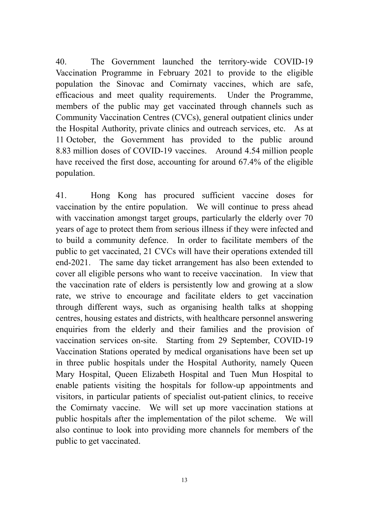40. The Government launched the territory-wide COVID-19 Vaccination Programme in February 2021 to provide to the eligible population the Sinovac and Comirnaty vaccines, which are safe, efficacious and meet quality requirements. Under the Programme, members of the public may get vaccinated through channels such as Community Vaccination Centres (CVCs), general outpatient clinics under the Hospital Authority, private clinics and outreach services, etc. As at 11 October, the Government has provided to the public around 8.83 million doses of COVID-19 vaccines. Around 4.54 million people have received the first dose, accounting for around 67.4% of the eligible population.

41. Hong Kong has procured sufficient vaccine doses for vaccination by the entire population. We will continue to press ahead with vaccination amongst target groups, particularly the elderly over 70 years of age to protect them from serious illness if they were infected and to build a community defence. In order to facilitate members of the public to get vaccinated, 21 CVCs will have their operations extended till end-2021. The same day ticket arrangement has also been extended to cover all eligible persons who want to receive vaccination. In view that the vaccination rate of elders is persistently low and growing at a slow rate, we strive to encourage and facilitate elders to get vaccination through different ways, such as organising health talks at shopping centres, housing estates and districts, with healthcare personnel answering enquiries from the elderly and their families and the provision of vaccination services on-site. Starting from 29 September, COVID-19 Vaccination Stations operated by medical organisations have been set up in three public hospitals under the Hospital Authority, namely Queen Mary Hospital, Queen Elizabeth Hospital and Tuen Mun Hospital to enable patients visiting the hospitals for follow-up appointments and visitors, in particular patients of specialist out-patient clinics, to receive the Comirnaty vaccine. We will set up more vaccination stations at public hospitals after the implementation of the pilot scheme. We will also continue to look into providing more channels for members of the public to get vaccinated.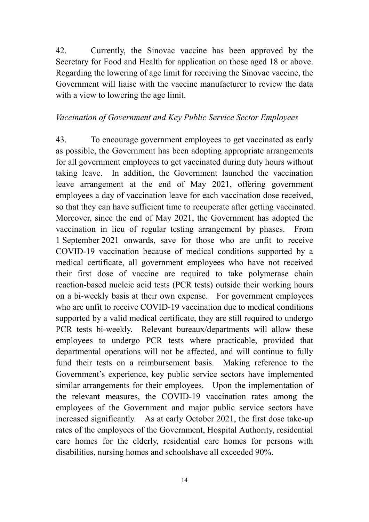42. Currently, the Sinovac vaccine has been approved by the Secretary for Food and Health for application on those aged 18 or above. Regarding the lowering of age limit for receiving the Sinovac vaccine, the Government will liaise with the vaccine manufacturer to review the data with a view to lowering the age limit.

#### *Vaccination of Government and Key Public Service Sector Employees*

43. To encourage government employees to get vaccinated as early as possible, the Government has been adopting appropriate arrangements for all government employees to get vaccinated during duty hours without taking leave. In addition, the Government launched the vaccination leave arrangement at the end of May 2021, offering government employees a day of vaccination leave for each vaccination dose received, so that they can have sufficient time to recuperate after getting vaccinated. Moreover, since the end of May 2021, the Government has adopted the vaccination in lieu of regular testing arrangement by phases. From 1 September 2021 onwards, save for those who are unfit to receive COVID-19 vaccination because of medical conditions supported by a medical certificate, all government employees who have not received their first dose of vaccine are required to take polymerase chain reaction-based nucleic acid tests (PCR tests) outside their working hours on a bi-weekly basis at their own expense. For government employees who are unfit to receive COVID-19 vaccination due to medical conditions supported by a valid medical certificate, they are still required to undergo PCR tests bi-weekly. Relevant bureaux/departments will allow these employees to undergo PCR tests where practicable, provided that departmental operations will not be affected, and will continue to fully fund their tests on a reimbursement basis. Making reference to the Government's experience, key public service sectors have implemented similar arrangements for their employees. Upon the implementation of the relevant measures, the COVID-19 vaccination rates among the employees of the Government and major public service sectors have increased significantly. As at early October 2021, the first dose take-up rates of the employees of the Government, Hospital Authority, residential care homes for the elderly, residential care homes for persons with disabilities, nursing homes and schoolshave all exceeded 90%.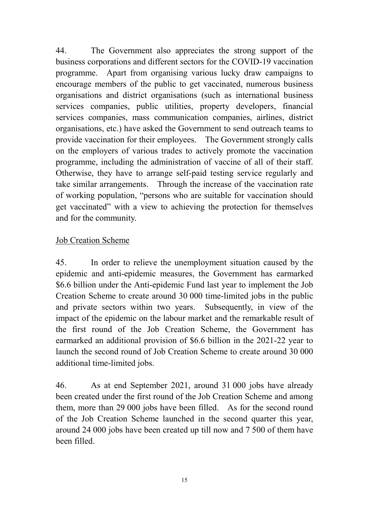44. The Government also appreciates the strong support of the business corporations and different sectors for the COVID-19 vaccination programme. Apart from organising various lucky draw campaigns to encourage members of the public to get vaccinated, numerous business organisations and district organisations (such as international business services companies, public utilities, property developers, financial services companies, mass communication companies, airlines, district organisations, etc.) have asked the Government to send outreach teams to provide vaccination for their employees. The Government strongly calls on the employers of various trades to actively promote the vaccination programme, including the administration of vaccine of all of their staff. Otherwise, they have to arrange self-paid testing service regularly and take similar arrangements. Through the increase of the vaccination rate of working population, "persons who are suitable for vaccination should get vaccinated" with a view to achieving the protection for themselves and for the community.

#### Job Creation Scheme

45. In order to relieve the unemployment situation caused by the epidemic and anti-epidemic measures, the Government has earmarked \$6.6 billion under the Anti-epidemic Fund last year to implement the Job Creation Scheme to create around 30 000 time-limited jobs in the public and private sectors within two years. Subsequently, in view of the impact of the epidemic on the labour market and the remarkable result of the first round of the Job Creation Scheme, the Government has earmarked an additional provision of \$6.6 billion in the 2021-22 year to launch the second round of Job Creation Scheme to create around 30 000 additional time-limited jobs.

46. As at end September 2021, around 31 000 jobs have already been created under the first round of the Job Creation Scheme and among them, more than 29 000 jobs have been filled. As for the second round of the Job Creation Scheme launched in the second quarter this year, around 24 000 jobs have been created up till now and 7 500 of them have been filled.